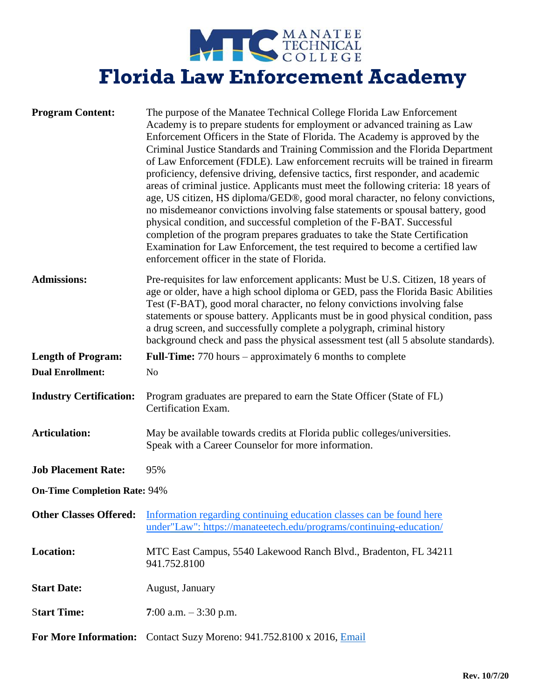NANATEE TECHNICAL **Florida Law Enforcement Academy**

| <b>Program Content:</b>             | The purpose of the Manatee Technical College Florida Law Enforcement<br>Academy is to prepare students for employment or advanced training as Law<br>Enforcement Officers in the State of Florida. The Academy is approved by the<br>Criminal Justice Standards and Training Commission and the Florida Department<br>of Law Enforcement (FDLE). Law enforcement recruits will be trained in firearm<br>proficiency, defensive driving, defensive tactics, first responder, and academic<br>areas of criminal justice. Applicants must meet the following criteria: 18 years of<br>age, US citizen, HS diploma/GED®, good moral character, no felony convictions,<br>no misdemeanor convictions involving false statements or spousal battery, good<br>physical condition, and successful completion of the F-BAT. Successful<br>completion of the program prepares graduates to take the State Certification<br>Examination for Law Enforcement, the test required to become a certified law<br>enforcement officer in the state of Florida. |  |
|-------------------------------------|-----------------------------------------------------------------------------------------------------------------------------------------------------------------------------------------------------------------------------------------------------------------------------------------------------------------------------------------------------------------------------------------------------------------------------------------------------------------------------------------------------------------------------------------------------------------------------------------------------------------------------------------------------------------------------------------------------------------------------------------------------------------------------------------------------------------------------------------------------------------------------------------------------------------------------------------------------------------------------------------------------------------------------------------------|--|
| <b>Admissions:</b>                  | Pre-requisites for law enforcement applicants: Must be U.S. Citizen, 18 years of<br>age or older, have a high school diploma or GED, pass the Florida Basic Abilities<br>Test (F-BAT), good moral character, no felony convictions involving false<br>statements or spouse battery. Applicants must be in good physical condition, pass<br>a drug screen, and successfully complete a polygraph, criminal history<br>background check and pass the physical assessment test (all 5 absolute standards).                                                                                                                                                                                                                                                                                                                                                                                                                                                                                                                                       |  |
| <b>Length of Program:</b>           | Full-Time: 770 hours – approximately 6 months to complete                                                                                                                                                                                                                                                                                                                                                                                                                                                                                                                                                                                                                                                                                                                                                                                                                                                                                                                                                                                     |  |
| <b>Dual Enrollment:</b>             | N <sub>o</sub>                                                                                                                                                                                                                                                                                                                                                                                                                                                                                                                                                                                                                                                                                                                                                                                                                                                                                                                                                                                                                                |  |
| <b>Industry Certification:</b>      | Program graduates are prepared to earn the State Officer (State of FL)<br>Certification Exam.                                                                                                                                                                                                                                                                                                                                                                                                                                                                                                                                                                                                                                                                                                                                                                                                                                                                                                                                                 |  |
| <b>Articulation:</b>                | May be available towards credits at Florida public colleges/universities.<br>Speak with a Career Counselor for more information.                                                                                                                                                                                                                                                                                                                                                                                                                                                                                                                                                                                                                                                                                                                                                                                                                                                                                                              |  |
| <b>Job Placement Rate:</b>          | 95%                                                                                                                                                                                                                                                                                                                                                                                                                                                                                                                                                                                                                                                                                                                                                                                                                                                                                                                                                                                                                                           |  |
| <b>On-Time Completion Rate: 94%</b> |                                                                                                                                                                                                                                                                                                                                                                                                                                                                                                                                                                                                                                                                                                                                                                                                                                                                                                                                                                                                                                               |  |
| <b>Other Classes Offered:</b>       | Information regarding continuing education classes can be found here<br>under"Law": https://manateetech.edu/programs/continuing-education/                                                                                                                                                                                                                                                                                                                                                                                                                                                                                                                                                                                                                                                                                                                                                                                                                                                                                                    |  |
| <b>Location:</b>                    | MTC East Campus, 5540 Lakewood Ranch Blvd., Bradenton, FL 34211<br>941.752.8100                                                                                                                                                                                                                                                                                                                                                                                                                                                                                                                                                                                                                                                                                                                                                                                                                                                                                                                                                               |  |
| <b>Start Date:</b>                  | August, January                                                                                                                                                                                                                                                                                                                                                                                                                                                                                                                                                                                                                                                                                                                                                                                                                                                                                                                                                                                                                               |  |
| <b>Start Time:</b>                  | 7:00 a.m. $-3:30$ p.m.                                                                                                                                                                                                                                                                                                                                                                                                                                                                                                                                                                                                                                                                                                                                                                                                                                                                                                                                                                                                                        |  |
|                                     | For More Information: Contact Suzy Moreno: 941.752.8100 x 2016, Email                                                                                                                                                                                                                                                                                                                                                                                                                                                                                                                                                                                                                                                                                                                                                                                                                                                                                                                                                                         |  |